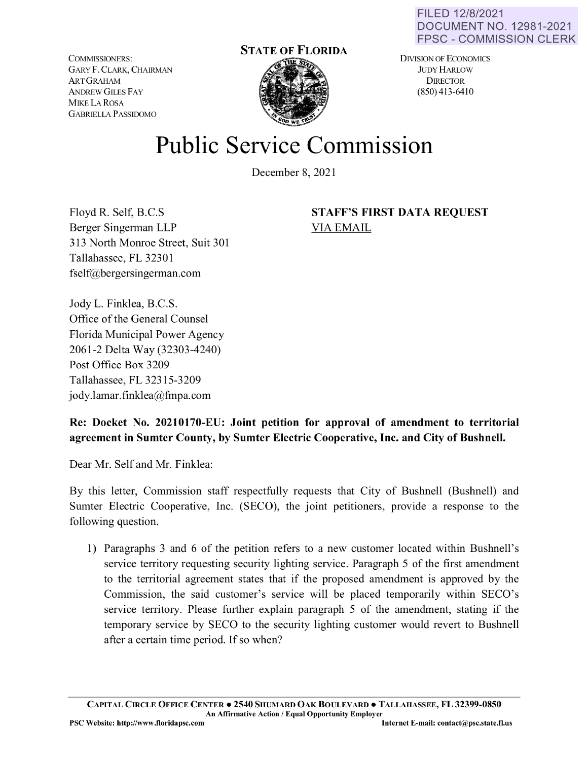FILED 12/8/2021 DOCUMENT NO. 12981-2021 FPSC - COMMISSION CLERK

COMMISSIONERS: GARY F. CLARK, CHAIRMAN ARTGRAHAM ANDREW GILES FAY **MIKE** LA ROSA GABRIELLA **P** ASS!DOMO

## **STATE OF FLORIDA**

DIVISION OF ECONOMICS JUDY HARLOW **DIRECTOR** (850) 413-6410

## **Public Service Commission**

December 8, 2021

Floyd R. Self, B.C.S Berger Singerman LLP 313 North Monroe Street, Suit 301 Tallahassee, FL 32301 fself@bergersingerman.com

**STAFF'S FIRST DATA REQUEST**  VIA EMAIL

Jody L. Finklea, B.C.S. Office of the General Counsel Florida Municipal Power Agency 2061-2 Delta Way (32303-4240) Post Office Box 3209 Tallahassee, FL 32315-3209 jody.lamar.finklea@fmpa.com

## **Re: Docket No. 20210170-EU: Joint petition for approval of amendment to territorial agreement in Sumter County, by Sumter Electric Cooperative, Inc. and City of Bushnell.**

Dear Mr. Self and Mr. Finklea:

By this letter, Commission staff respectfully requests that City of Bushnell (Bushnell) and Sumter Electric Cooperative, Inc. (SECO), the joint petitioners, provide a response to the following question.

1) Paragraphs 3 and 6 of the petition refers to a new customer located within Bushnell's service territory requesting security lighting service. Paragraph 5 of the first amendment to the territorial agreement states that if the proposed amendment is approved by the Commission, the said customer's service will be placed temporarily within SECO's service territory. Please further explain paragraph 5 of the amendment, stating if the temporary service by SECO to the security lighting customer would revert to Bushnell after a certain time period. If so when?